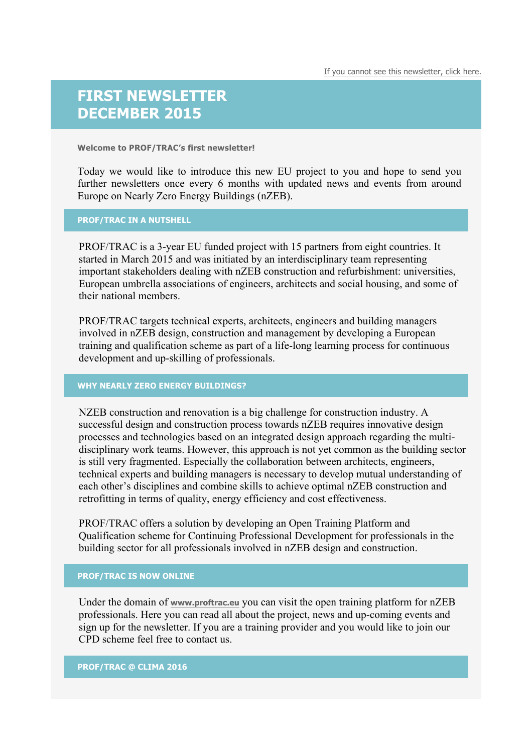## **FIRST NEWSLETTER DECEMBER 2015**

**Welcome to PROF/TRAC's first newsletter!**

Today we would like to introduce this new EU project to you and hope to send you further newsletters once every 6 months with updated news and events from around Europe on Nearly Zero Energy Buildings (nZEB).

## **PROF/TRAC IN A NUTSHELL**

PROF/TRAC is a 3-year EU funded project with 15 partners from eight countries. It started in March 2015 and was initiated by an interdisciplinary team representing important stakeholders dealing with nZEB construction and refurbishment: universities, European umbrella associations of engineers, architects and social housing, and some of their national members.

PROF/TRAC targets technical experts, architects, engineers and building managers involved in nZEB design, construction and management by developing a European training and qualification scheme as part of a life-long learning process for continuous development and up-skilling of professionals.

## **WHY NEARLY ZERO ENERGY BUILDINGS?**

NZEB construction and renovation is a big challenge for construction industry. A successful design and construction process towards nZEB requires innovative design processes and technologies based on an integrated design approach regarding the multidisciplinary work teams. However, this approach is not yet common as the building sector is still very fragmented. Especially the collaboration between architects, engineers, technical experts and building managers is necessary to develop mutual understanding of each other's disciplines and combine skills to achieve optimal nZEB construction and retrofitting in terms of quality, energy efficiency and cost effectiveness.

PROF/TRAC offers a solution by developing an Open Training Platform and Qualification scheme for Continuing Professional Development for professionals in the building sector for all professionals involved in nZEB design and construction.

## **PROF/TRAC IS NOW ONLINE**

Under the domain of **www.proftrac.eu** you can visit the open training platform for nZEB professionals. Here you can read all about the project, news and up-coming events and sign up for the newsletter. If you are a training provider and you would like to join our CPD scheme feel free to contact us.

**PROF/TRAC @ CLIMA 2016**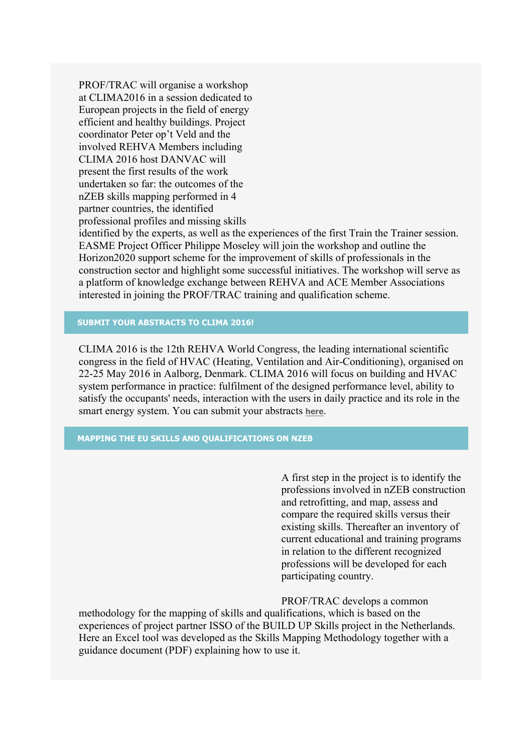PROF/TRAC will organise a workshop at CLIMA2016 in a session dedicated to European projects in the field of energy efficient and healthy buildings. Project coordinator Peter op't Veld and the involved REHVA Members including CLIMA 2016 host DANVAC will present the first results of the work undertaken so far: the outcomes of the nZEB skills mapping performed in 4 partner countries, the identified professional profiles and missing skills

identified by the experts, as well as the experiences of the first Train the Trainer session. EASME Project Officer Philippe Moseley will join the workshop and outline the Horizon2020 support scheme for the improvement of skills of professionals in the construction sector and highlight some successful initiatives. The workshop will serve as a platform of knowledge exchange between REHVA and ACE Member Associations interested in joining the PROF/TRAC training and qualification scheme.

**SUBMIT YOUR ABSTRACTS TO CLIMA 2016!**

CLIMA 2016 is the 12th REHVA World Congress, the leading international scientific congress in the field of HVAC (Heating, Ventilation and Air-Conditioning), organised on 22-25 May 2016 in Aalborg, Denmark. CLIMA 2016 will focus on building and HVAC system performance in practice: fulfilment of the designed performance level, ability to satisfy the occupants' needs, interaction with the users in daily practice and its role in the smart energy system. You can submit your abstracts **here**.

**MAPPING THE EU SKILLS AND QUALIFICATIONS ON NZEB**

A first step in the project is to identify the professions involved in nZEB construction and retrofitting, and map, assess and compare the required skills versus their existing skills. Thereafter an inventory of current educational and training programs in relation to the different recognized professions will be developed for each participating country.

PROF/TRAC develops a common

methodology for the mapping of skills and qualifications, which is based on the experiences of project partner ISSO of the BUILD UP Skills project in the Netherlands. Here an Excel tool was developed as the Skills Mapping Methodology together with a guidance document (PDF) explaining how to use it.